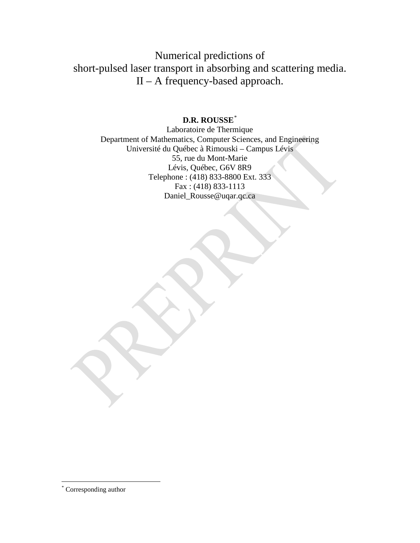Numerical predictions of short-pulsed laser transport in absorbing and scattering media. II – A frequency-based approach.

## **D.R. ROUSSE**[\\*](#page-0-0)

Laboratoire de Thermique Department of Mathematics, Computer Sciences, and Engineering Université du Québec à Rimouski – Campus Lévis 55, rue du Mont-Marie Lévis, Québec, G6V 8R9 Telephone : (418) 833-8800 Ext. 333 Fax : (418) 833-1113 [Daniel\\_Rousse@uqar.qc.ca](mailto:Daniel_Rousse@uqar.qc.ca)

<span id="page-0-0"></span> <sup>\*</sup> Corresponding author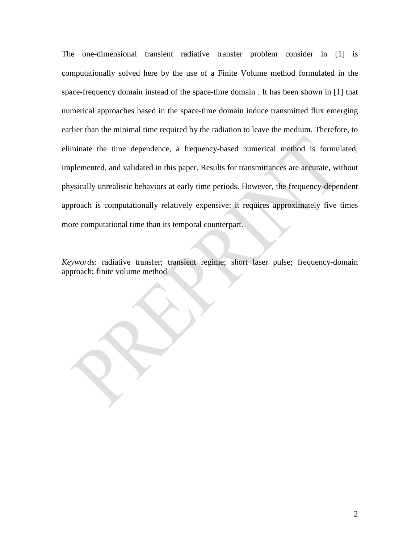The one-dimensional transient radiative transfer problem consider in [1] is computationally solved here by the use of a Finite Volume method formulated in the space-frequency domain instead of the space-time domain . It has been shown in [1] that numerical approaches based in the space-time domain induce transmitted flux emerging earlier than the minimal time required by the radiation to leave the medium. Therefore, to eliminate the time dependence, a frequency-based numerical method is formulated, implemented, and validated in this paper. Results for transmittances are accurate, without physically unrealistic behaviors at early time periods. However, the frequency-dependent approach is computationally relatively expensive: it requires approximately five times more computational time than its temporal counterpart.

*Keywords*: radiative transfer; transient regime; short laser pulse; frequency-domain approach; finite volume method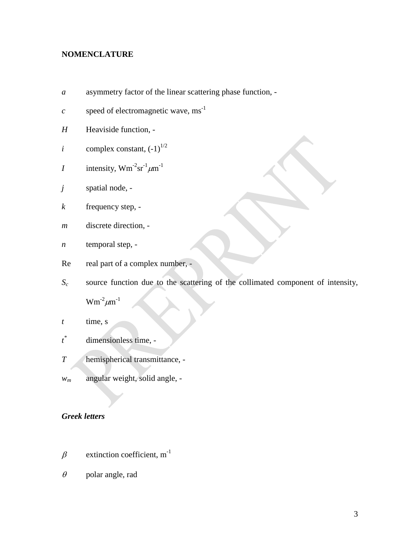# **NOMENCLATURE**

- *a* asymmetry factor of the linear scattering phase function, -
- *c* speed of electromagnetic wave,  $ms^{-1}$
- *H* Heaviside function, -
- *i* complex constant,  $(-1)^{1/2}$
- *I* intensity,  $Wm^{-2}sr^{-1}\mu m^{-1}$
- *j* spatial node, -
- *k* frequency step, -
- *m* discrete direction, -
- *n* temporal step, -
- Re real part of a complex number, -
- *Sc* source function due to the scattering of the collimated component of intensity,

 $Wm^{-2}\mu m^{-1}$ 

- *t* time, s
- *t* dimensionless time, -
- *T* hemispherical transmittance, -
- *wm* angular weight, solid angle, -

## *Greek letters*

- $\beta$  extinction coefficient, m<sup>-1</sup>
- $\theta$  polar angle, rad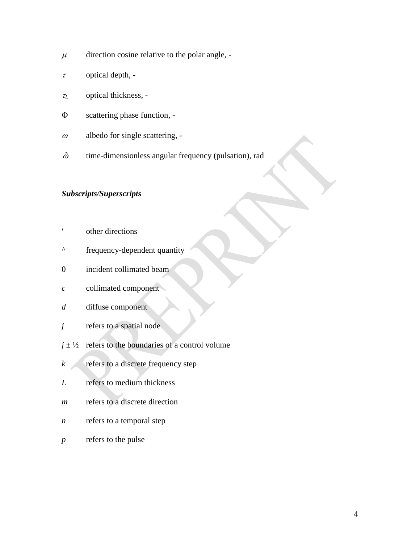- $\mu$  direction cosine relative to the polar angle, -
- $\tau$  optical depth, -
- <sup>τ</sup>*<sup>L</sup>* optical thickness, -
- Φ scattering phase function, -
- $\omega$  albedo for single scattering, -
- $\hat{\omega}$  time-dimensionless angular frequency (pulsation), rad

# *Subscripts/Superscripts*

- ′ other directions
- ^ frequency-dependent quantity
- 0 incident collimated beam
- *c* collimated component
- *d* diffuse component
- *j* refers to a spatial node
- $j \pm \frac{1}{2}$  refers to the boundaries of a control volume
- *k* refers to a discrete frequency step
- *L* refers to medium thickness
- *m* refers to a discrete direction
- *n* refers to a temporal step
- *p* refers to the pulse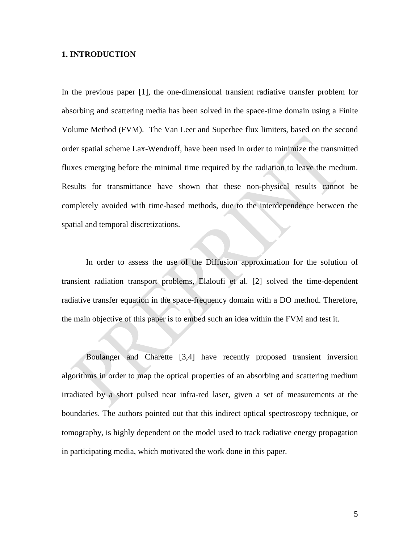#### **1. INTRODUCTION**

In the previous paper [1], the one-dimensional transient radiative transfer problem for absorbing and scattering media has been solved in the space-time domain using a Finite Volume Method (FVM). The Van Leer and Superbee flux limiters, based on the second order spatial scheme Lax-Wendroff, have been used in order to minimize the transmitted fluxes emerging before the minimal time required by the radiation to leave the medium. Results for transmittance have shown that these non-physical results cannot be completely avoided with time-based methods, due to the interdependence between the spatial and temporal discretizations.

In order to assess the use of the Diffusion approximation for the solution of transient radiation transport problems, Elaloufi et al. [2] solved the time-dependent radiative transfer equation in the space-frequency domain with a DO method. Therefore, the main objective of this paper is to embed such an idea within the FVM and test it.

Boulanger and Charette [3,4] have recently proposed transient inversion algorithms in order to map the optical properties of an absorbing and scattering medium irradiated by a short pulsed near infra-red laser, given a set of measurements at the boundaries. The authors pointed out that this indirect optical spectroscopy technique, or tomography, is highly dependent on the model used to track radiative energy propagation in participating media, which motivated the work done in this paper.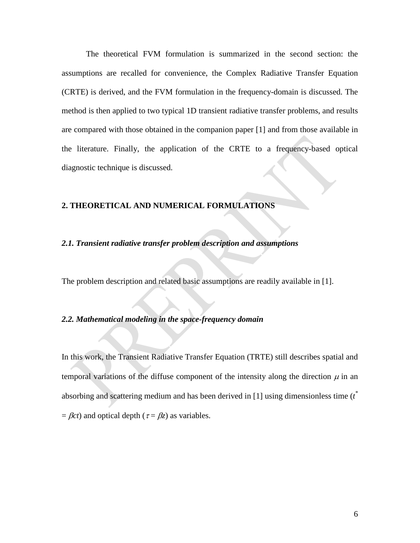The theoretical FVM formulation is summarized in the second section: the assumptions are recalled for convenience, the Complex Radiative Transfer Equation (CRTE) is derived, and the FVM formulation in the frequency-domain is discussed. The method is then applied to two typical 1D transient radiative transfer problems, and results are compared with those obtained in the companion paper [1] and from those available in the literature. Finally, the application of the CRTE to a frequency-based optical diagnostic technique is discussed.

## **2. THEORETICAL AND NUMERICAL FORMULATIONS**

#### *2.1. Transient radiative transfer problem description and assumptions*

The problem description and related basic assumptions are readily available in [1].

### *2.2. Mathematical modeling in the space-frequency domain*

In this work, the Transient Radiative Transfer Equation (TRTE) still describes spatial and temporal variations of the diffuse component of the intensity along the direction  $\mu$  in an absorbing and scattering medium and has been derived in [1] using dimensionless time (*t \**  $=$  *Bct*) and optical depth ( $\tau = Bz$ ) as variables.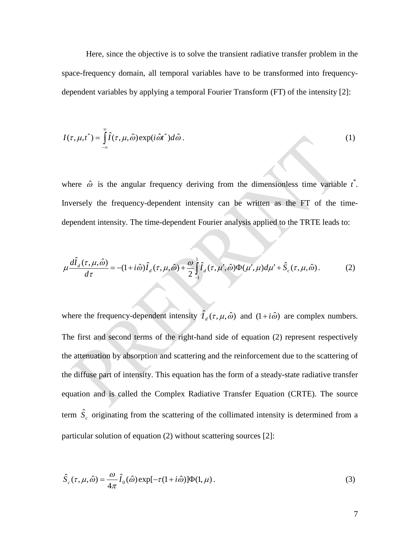Here, since the objective is to solve the transient radiative transfer problem in the space-frequency domain, all temporal variables have to be transformed into frequencydependent variables by applying a temporal Fourier Transform (FT) of the intensity [2]:

$$
I(\tau, \mu, t^*) = \int_{-\infty}^{\infty} \hat{I}(\tau, \mu, \hat{\omega}) \exp(i\hat{\omega}t^*) d\hat{\omega}.
$$
 (1)

where  $\hat{\omega}$  is the angular frequency deriving from the dimensionless time variable  $t^*$ . Inversely the frequency-dependent intensity can be written as the FT of the timedependent intensity. The time-dependent Fourier analysis applied to the TRTE leads to:

$$
\mu \frac{d\hat{I}_d(\tau, \mu, \hat{\omega})}{d\tau} = -(1 + i\hat{\omega})\hat{I}_d(\tau, \mu, \hat{\omega}) + \frac{\omega}{2} \int_{-1}^{1} \hat{I}_d(\tau, \mu', \hat{\omega}) \Phi(\mu', \mu) d\mu' + \hat{S}_c(\tau, \mu, \hat{\omega}).
$$
\n(2)

where the frequency-dependent intensity  $\hat{I}_d(\tau, \mu, \hat{\omega})$  and  $(1 + i\hat{\omega})$  are complex numbers. The first and second terms of the right-hand side of equation (2) represent respectively the attenuation by absorption and scattering and the reinforcement due to the scattering of the diffuse part of intensity. This equation has the form of a steady-state radiative transfer equation and is called the Complex Radiative Transfer Equation (CRTE). The source term  $\hat{S}_c$  originating from the scattering of the collimated intensity is determined from a particular solution of equation (2) without scattering sources [2]:

$$
\hat{S}_c(\tau,\mu,\hat{\omega}) = \frac{\omega}{4\pi} \hat{I}_0(\hat{\omega}) \exp[-\tau(1+i\hat{\omega})] \Phi(1,\mu).
$$
\n(3)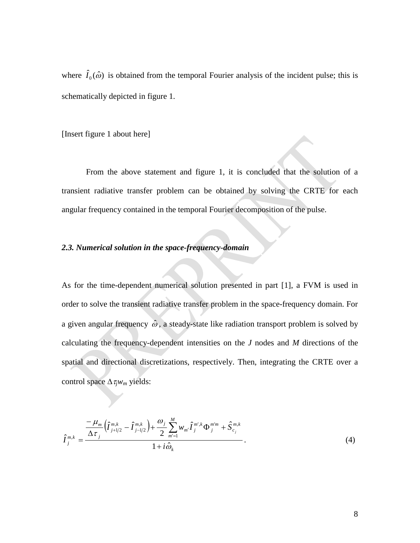where  $\hat{I}_0(\hat{\omega})$  is obtained from the temporal Fourier analysis of the incident pulse; this is schematically depicted in figure 1.

[Insert figure 1 about here]

From the above statement and figure 1, it is concluded that the solution of a transient radiative transfer problem can be obtained by solving the CRTE for each angular frequency contained in the temporal Fourier decomposition of the pulse.

### *2.3. Numerical solution in the space-frequency-domain*

As for the time-dependent numerical solution presented in part [1], a FVM is used in order to solve the transient radiative transfer problem in the space-frequency domain. For a given angular frequency  $\hat{\omega}$ , a steady-state like radiation transport problem is solved by calculating the frequency-dependent intensities on the *J* nodes and *M* directions of the spatial and directional discretizations, respectively. Then, integrating the CRTE over a control space ∆τ*jwm* yields:

$$
\hat{I}_{j}^{m,k} = \frac{\frac{-\mu_{m}}{\Delta \tau_{j}} \left(\hat{I}_{j+1/2}^{m,k} - \hat{I}_{j-1/2}^{m,k}\right) + \frac{\omega_{j}}{2} \sum_{m'=1}^{M} w_{m'} \hat{I}_{j}^{m',k} \Phi_{j}^{m'm} + \hat{S}_{c_{j}}^{m,k}}{1 + i \hat{\omega}_{k}}.
$$
\n(4)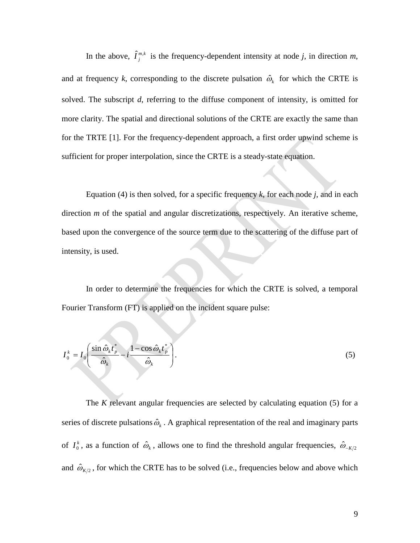In the above,  $\hat{I}^{m,k}_{j}$  is the frequency-dependent intensity at node *j*, in direction *m*, and at frequency *k*, corresponding to the discrete pulsation  $\hat{\omega}_k$  for which the CRTE is solved. The subscript *d*, referring to the diffuse component of intensity, is omitted for more clarity. The spatial and directional solutions of the CRTE are exactly the same than for the TRTE [1]. For the frequency-dependent approach, a first order upwind scheme is sufficient for proper interpolation, since the CRTE is a steady-state equation.

Equation (4) is then solved, for a specific frequency  $k$ , for each node  $j$ , and in each direction *m* of the spatial and angular discretizations, respectively. An iterative scheme, based upon the convergence of the source term due to the scattering of the diffuse part of intensity, is used.

In order to determine the frequencies for which the CRTE is solved, a temporal Fourier Transform (FT) is applied on the incident square pulse:

$$
I_0^k = I_0 \left( \frac{\sin \hat{\omega}_k t_p^*}{\hat{\omega}_k} - i \frac{1 - \cos \hat{\omega}_k t_p^*}{\hat{\omega}_k} \right).
$$
 (5)

The *K* relevant angular frequencies are selected by calculating equation (5) for a series of discrete pulsations  $\hat{\omega}_k$ . A graphical representation of the real and imaginary parts of  $I_0^k$ , as a function of  $\hat{\omega}_k$ , allows one to find the threshold angular frequencies,  $\hat{\omega}_{-K/2}$ and  $\hat{\omega}_{K/2}$ , for which the CRTE has to be solved (i.e., frequencies below and above which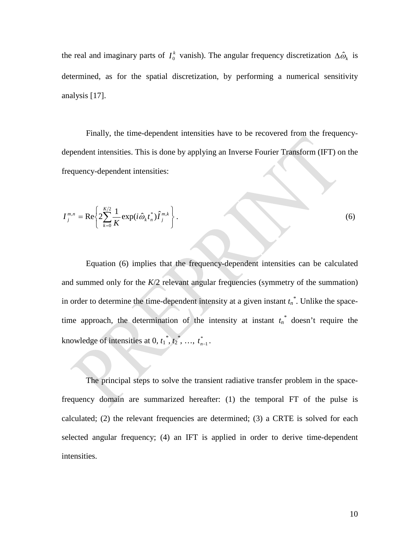the real and imaginary parts of  $I_0^k$  vanish). The angular frequency discretization  $\Delta \hat{\omega}_k$  is determined, as for the spatial discretization, by performing a numerical sensitivity analysis [17].

Finally, the time-dependent intensities have to be recovered from the frequencydependent intensities. This is done by applying an Inverse Fourier Transform (IFT) on the frequency-dependent intensities:

$$
I_j^{m,n} = \text{Re}\left\{2\sum_{k=0}^{K/2} \frac{1}{K} \exp(i\hat{\omega}_k t_n^*) \hat{I}_j^{m,k}\right\}.
$$
 (6)

Equation (6) implies that the frequency-dependent intensities can be calculated and summed only for the *K*/2 relevant angular frequencies (symmetry of the summation) in order to determine the time-dependent intensity at a given instant  $t_n^*$ . Unlike the spacetime approach, the determination of the intensity at instant  $t_n^*$  doesn't require the knowledge of intensities at 0,  $t_1^*, t_2^*, \dots, t_{n-1}^*$ .

The principal steps to solve the transient radiative transfer problem in the spacefrequency domain are summarized hereafter: (1) the temporal FT of the pulse is calculated; (2) the relevant frequencies are determined; (3) a CRTE is solved for each selected angular frequency; (4) an IFT is applied in order to derive time-dependent intensities.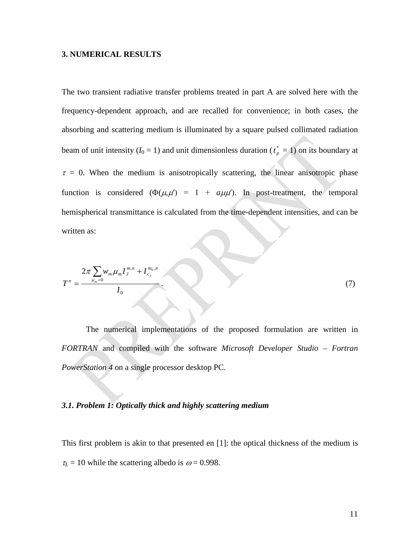#### **3. NUMERICAL RESULTS**

The two transient radiative transfer problems treated in part A are solved here with the frequency-dependent approach, and are recalled for convenience; in both cases, the absorbing and scattering medium is illuminated by a square pulsed collimated radiation beam of unit intensity  $(I_0 = 1)$  and unit dimensionless duration  $(t_p^* = 1)$  on its boundary at  $\tau = 0$ . When the medium is anisotropically scattering, the linear anisotropic phase function is considered  $(\Phi(\mu,\mu') = 1 + a\mu\mu')$ . In post-treatment, the temporal hemispherical transmittance is calculated from the time-dependent intensities, and can be written as:

$$
T^{n} = \frac{2\pi \sum_{\mu_{m}>0} w_{m} \mu_{m} I_{J}^{m,n} + I_{c_{J}}^{m_{0},n}}{I_{0}}.
$$
 (7)

The numerical implementations of the proposed formulation are written in *FORTRAN* and compiled with the software *Microsoft Developer Studio – Fortran PowerStation 4* on a single processor desktop PC.

#### *3.1. Problem 1: Optically thick and highly scattering medium*

This first problem is akin to that presented en [1]: the optical thickness of the medium is  $\tau_L$  = 10 while the scattering albedo is  $\omega$  = 0.998.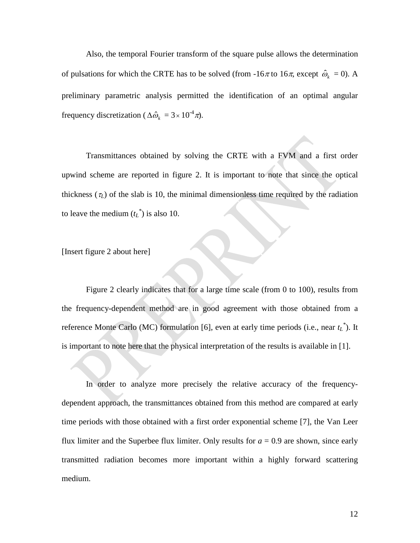Also, the temporal Fourier transform of the square pulse allows the determination of pulsations for which the CRTE has to be solved (from -16 $\pi$  to 16 $\pi$ , except  $\hat{\omega}_k = 0$ ). A preliminary parametric analysis permitted the identification of an optimal angular frequency discretization ( $\Delta \hat{\omega}_k = 3 \times 10^{-4} \pi$ ).

Transmittances obtained by solving the CRTE with a FVM and a first order upwind scheme are reported in figure 2. It is important to note that since the optical thickness  $(\tau_L)$  of the slab is 10, the minimal dimensionless time required by the radiation to leave the medium  $(t_L^*)$  is also 10.

[Insert figure 2 about here]

Figure 2 clearly indicates that for a large time scale (from 0 to 100), results from the frequency-dependent method are in good agreement with those obtained from a reference Monte Carlo (MC) formulation [6], even at early time periods (i.e., near  $t_L^*$ ). It is important to note here that the physical interpretation of the results is available in [1].

In order to analyze more precisely the relative accuracy of the frequencydependent approach, the transmittances obtained from this method are compared at early time periods with those obtained with a first order exponential scheme [7], the Van Leer flux limiter and the Superbee flux limiter. Only results for  $a = 0.9$  are shown, since early transmitted radiation becomes more important within a highly forward scattering medium.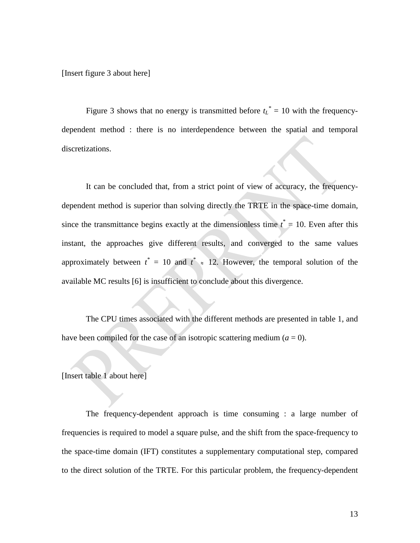[Insert figure 3 about here]

Figure 3 shows that no energy is transmitted before  $t_L^* = 10$  with the frequencydependent method : there is no interdependence between the spatial and temporal discretizations.

It can be concluded that, from a strict point of view of accuracy, the frequencydependent method is superior than solving directly the TRTE in the space-time domain, since the transmittance begins exactly at the dimensionless time  $t^* = 10$ . Even after this instant, the approaches give different results, and converged to the same values approximately between  $t^* = 10$  and  $t^* \approx 12$ . However, the temporal solution of the available MC results [6] is insufficient to conclude about this divergence.

The CPU times associated with the different methods are presented in table 1, and have been compiled for the case of an isotropic scattering medium  $(a = 0)$ .

[Insert table 1 about here]

The frequency-dependent approach is time consuming : a large number of frequencies is required to model a square pulse, and the shift from the space-frequency to the space-time domain (IFT) constitutes a supplementary computational step, compared to the direct solution of the TRTE. For this particular problem, the frequency-dependent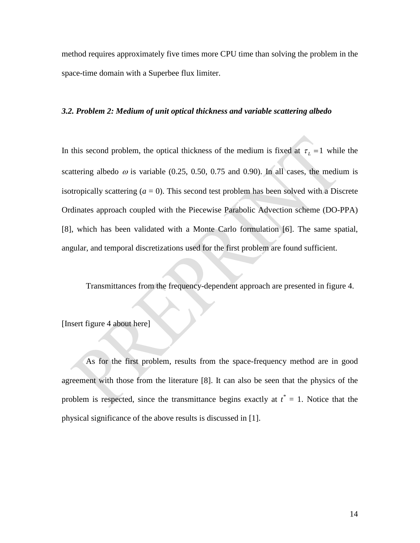method requires approximately five times more CPU time than solving the problem in the space-time domain with a Superbee flux limiter.

#### *3.2. Problem 2: Medium of unit optical thickness and variable scattering albedo*

In this second problem, the optical thickness of the medium is fixed at  $\tau_1 = 1$  while the scattering albedo  $\omega$  is variable (0.25, 0.50, 0.75 and 0.90). In all cases, the medium is isotropically scattering  $(a = 0)$ . This second test problem has been solved with a Discrete Ordinates approach coupled with the Piecewise Parabolic Advection scheme (DO-PPA) [8], which has been validated with a Monte Carlo formulation [6]. The same spatial, angular, and temporal discretizations used for the first problem are found sufficient.

Transmittances from the frequency-dependent approach are presented in figure 4.

[Insert figure 4 about here]

As for the first problem, results from the space-frequency method are in good agreement with those from the literature [8]. It can also be seen that the physics of the problem is respected, since the transmittance begins exactly at  $t^* = 1$ . Notice that the physical significance of the above results is discussed in [1].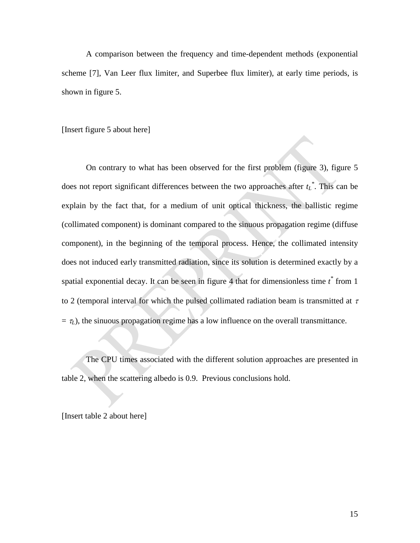A comparison between the frequency and time-dependent methods (exponential scheme [7], Van Leer flux limiter, and Superbee flux limiter), at early time periods, is shown in figure 5.

[Insert figure 5 about here]

On contrary to what has been observed for the first problem (figure 3), figure 5 does not report significant differences between the two approaches after  $t_L^*$ . This can be explain by the fact that, for a medium of unit optical thickness, the ballistic regime (collimated component) is dominant compared to the sinuous propagation regime (diffuse component), in the beginning of the temporal process. Hence, the collimated intensity does not induced early transmitted radiation, since its solution is determined exactly by a spatial exponential decay. It can be seen in figure 4 that for dimensionless time *t \** from 1 to 2 (temporal interval for which the pulsed collimated radiation beam is transmitted at  $\tau$  $= \tau_L$ ), the sinuous propagation regime has a low influence on the overall transmittance.

The CPU times associated with the different solution approaches are presented in table 2, when the scattering albedo is 0.9. Previous conclusions hold.

[Insert table 2 about here]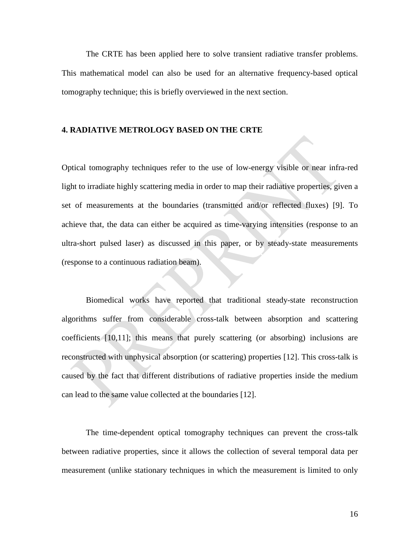The CRTE has been applied here to solve transient radiative transfer problems. This mathematical model can also be used for an alternative frequency-based optical tomography technique; this is briefly overviewed in the next section.

#### **4. RADIATIVE METROLOGY BASED ON THE CRTE**

Optical tomography techniques refer to the use of low-energy visible or near infra-red light to irradiate highly scattering media in order to map their radiative properties, given a set of measurements at the boundaries (transmitted and/or reflected fluxes) [9]. To achieve that, the data can either be acquired as time-varying intensities (response to an ultra-short pulsed laser) as discussed in this paper, or by steady-state measurements (response to a continuous radiation beam).

Biomedical works have reported that traditional steady-state reconstruction algorithms suffer from considerable cross-talk between absorption and scattering coefficients [10,11]; this means that purely scattering (or absorbing) inclusions are reconstructed with unphysical absorption (or scattering) properties [12]. This cross-talk is caused by the fact that different distributions of radiative properties inside the medium can lead to the same value collected at the boundaries [12].

The time-dependent optical tomography techniques can prevent the cross-talk between radiative properties, since it allows the collection of several temporal data per measurement (unlike stationary techniques in which the measurement is limited to only

16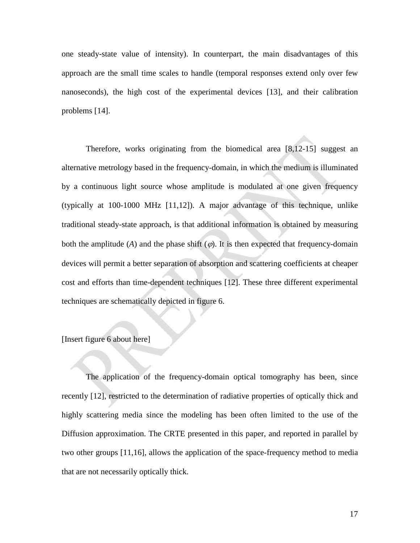one steady-state value of intensity). In counterpart, the main disadvantages of this approach are the small time scales to handle (temporal responses extend only over few nanoseconds), the high cost of the experimental devices [13], and their calibration problems [14].

Therefore, works originating from the biomedical area [8,12-15] suggest an alternative metrology based in the frequency-domain, in which the medium is illuminated by a continuous light source whose amplitude is modulated at one given frequency (typically at 100-1000 MHz [11,12]). A major advantage of this technique, unlike traditional steady-state approach, is that additional information is obtained by measuring both the amplitude (*A*) and the phase shift  $(\varphi)$ . It is then expected that frequency-domain devices will permit a better separation of absorption and scattering coefficients at cheaper cost and efforts than time-dependent techniques [12]. These three different experimental techniques are schematically depicted in figure 6.

### [Insert figure 6 about here]

The application of the frequency-domain optical tomography has been, since recently [12], restricted to the determination of radiative properties of optically thick and highly scattering media since the modeling has been often limited to the use of the Diffusion approximation. The CRTE presented in this paper, and reported in parallel by two other groups [11,16], allows the application of the space-frequency method to media that are not necessarily optically thick.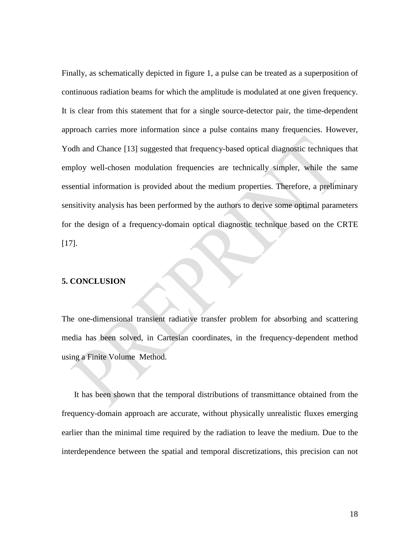Finally, as schematically depicted in figure 1, a pulse can be treated as a superposition of continuous radiation beams for which the amplitude is modulated at one given frequency. It is clear from this statement that for a single source-detector pair, the time-dependent approach carries more information since a pulse contains many frequencies. However, Yodh and Chance [13] suggested that frequency-based optical diagnostic techniques that employ well-chosen modulation frequencies are technically simpler, while the same essential information is provided about the medium properties. Therefore, a preliminary sensitivity analysis has been performed by the authors to derive some optimal parameters for the design of a frequency-domain optical diagnostic technique based on the CRTE [17].

### **5. CONCLUSION**

The one-dimensional transient radiative transfer problem for absorbing and scattering media has been solved, in Cartesian coordinates, in the frequency-dependent method using a Finite Volume Method.

It has been shown that the temporal distributions of transmittance obtained from the frequency-domain approach are accurate, without physically unrealistic fluxes emerging earlier than the minimal time required by the radiation to leave the medium. Due to the interdependence between the spatial and temporal discretizations, this precision can not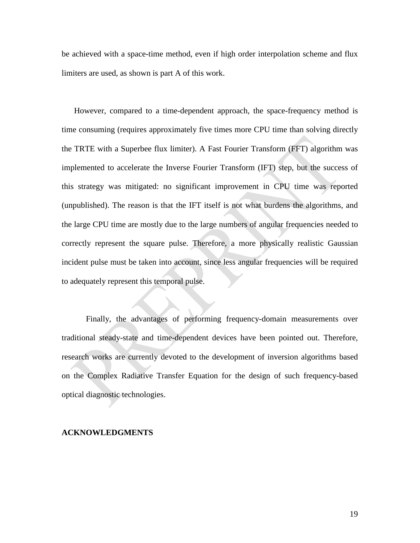be achieved with a space-time method, even if high order interpolation scheme and flux limiters are used, as shown is part A of this work.

However, compared to a time-dependent approach, the space-frequency method is time consuming (requires approximately five times more CPU time than solving directly the TRTE with a Superbee flux limiter). A Fast Fourier Transform (FFT) algorithm was implemented to accelerate the Inverse Fourier Transform (IFT) step, but the success of this strategy was mitigated: no significant improvement in CPU time was reported (unpublished). The reason is that the IFT itself is not what burdens the algorithms, and the large CPU time are mostly due to the large numbers of angular frequencies needed to correctly represent the square pulse. Therefore, a more physically realistic Gaussian incident pulse must be taken into account, since less angular frequencies will be required to adequately represent this temporal pulse.

Finally, the advantages of performing frequency-domain measurements over traditional steady-state and time-dependent devices have been pointed out. Therefore, research works are currently devoted to the development of inversion algorithms based on the Complex Radiative Transfer Equation for the design of such frequency-based optical diagnostic technologies.

#### **ACKNOWLEDGMENTS**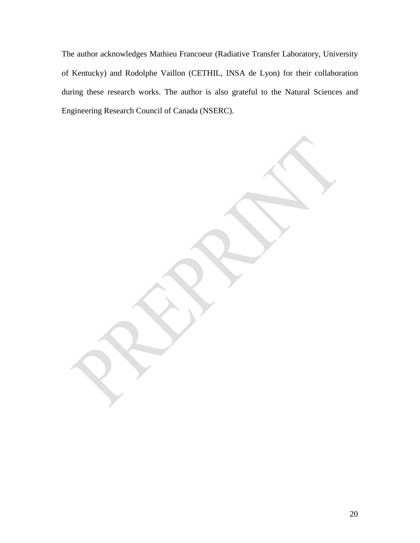The author acknowledges Mathieu Francoeur (Radiative Transfer Laboratory, University of Kentucky) and Rodolphe Vaillon (CETHIL, INSA de Lyon) for their collaboration during these research works. The author is also grateful to the Natural Sciences and Engineering Research Council of Canada (NSERC).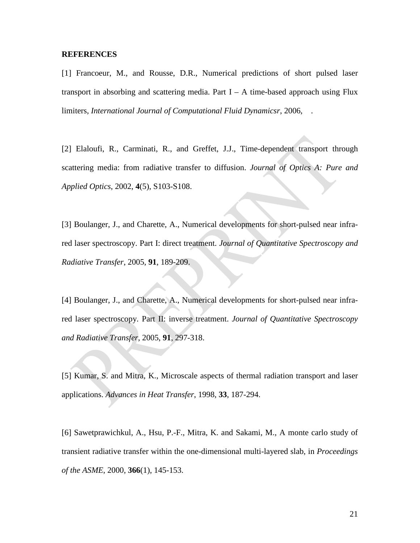#### **REFERENCES**

[1] Francoeur, M., and Rousse, D.R., Numerical predictions of short pulsed laser transport in absorbing and scattering media. Part  $I - A$  time-based approach using Flux limiters, *International Journal of Computational Fluid Dynamicsr*, 2006, .

[2] Elaloufi, R., Carminati, R., and Greffet, J.J., Time-dependent transport through scattering media: from radiative transfer to diffusion. *Journal of Optics A: Pure and Applied Optics*, 2002, **4**(5), S103-S108.

[3] Boulanger, J., and Charette, A., Numerical developments for short-pulsed near infrared laser spectroscopy. Part I: direct treatment. *Journal of Quantitative Spectroscopy and Radiative Transfer*, 2005, **91**, 189-209.

[4] Boulanger, J., and Charette, A., Numerical developments for short-pulsed near infrared laser spectroscopy. Part II: inverse treatment. *Journal of Quantitative Spectroscopy and Radiative Transfer*, 2005, **91**, 297-318.

[5] Kumar, S. and Mitra, K., Microscale aspects of thermal radiation transport and laser applications. *Advances in Heat Transfer*, 1998, **33**, 187-294.

[6] Sawetprawichkul, A., Hsu, P.-F., Mitra, K. and Sakami, M., A monte carlo study of transient radiative transfer within the one-dimensional multi-layered slab, in *Proceedings of the ASME*, 2000, **366**(1), 145-153.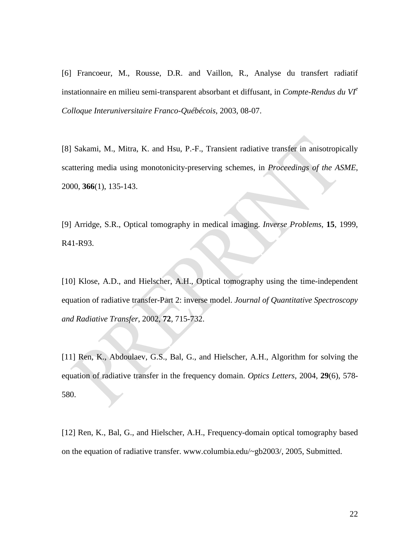[6] Francoeur, M., Rousse, D.R. and Vaillon, R., Analyse du transfert radiatif instationnaire en milieu semi-transparent absorbant et diffusant, in *Compte-Rendus du VIe Colloque Interuniversitaire Franco-Québécois*, 2003, 08-07.

[8] Sakami, M., Mitra, K. and Hsu, P.-F., Transient radiative transfer in anisotropically scattering media using monotonicity-preserving schemes, in *Proceedings of the ASME*, 2000, **366**(1), 135-143.

[9] Arridge, S.R., Optical tomography in medical imaging. *Inverse Problems*, **15**, 1999, R41-R93.

[10] Klose, A.D., and Hielscher, A.H., Optical tomography using the time-independent equation of radiative transfer-Part 2: inverse model. *Journal of Quantitative Spectroscopy and Radiative Transfer*, 2002, **72**, 715-732.

[11] Ren, K., Abdoulaev, G.S., Bal, G., and Hielscher, A.H., Algorithm for solving the equation of radiative transfer in the frequency domain. *Optics Letters*, 2004, **29**(6), 578- 580.

[12] Ren, K., Bal, G., and Hielscher, A.H., Frequency-domain optical tomography based on the equation of radiative transfer. [www.columbia.edu/~gb2003/,](http://www.columbia.edu/~gb2003/) 2005, Submitted.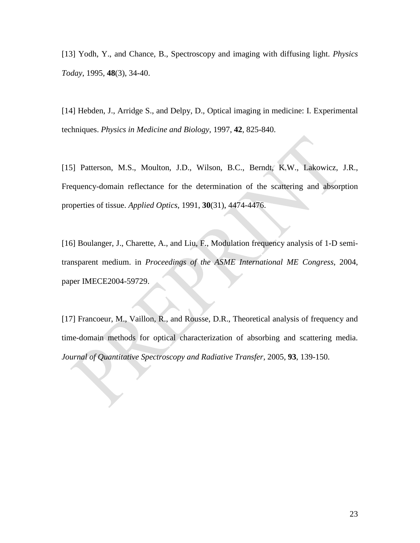[13] Yodh, Y., and Chance, B., Spectroscopy and imaging with diffusing light. *Physics Today*, 1995, **48**(3), 34-40.

[14] Hebden, J., Arridge S., and Delpy, D., Optical imaging in medicine: I. Experimental techniques. *Physics in Medicine and Biology*, 1997, **42**, 825-840.

[15] Patterson, M.S., Moulton, J.D., Wilson, B.C., Berndt, K.W., Lakowicz, J.R., Frequency-domain reflectance for the determination of the scattering and absorption properties of tissue. *Applied Optics*, 1991, **30**(31), 4474-4476.

[16] Boulanger, J., Charette, A., and Liu, F., Modulation frequency analysis of 1-D semitransparent medium. in *Proceedings of the ASME International ME Congress*, 2004, paper IMECE2004-59729.

[17] Francoeur, M., Vaillon, R., and Rousse, D.R., Theoretical analysis of frequency and time-domain methods for optical characterization of absorbing and scattering media. *Journal of Quantitative Spectroscopy and Radiative Transfer*, 2005, **93**, 139-150.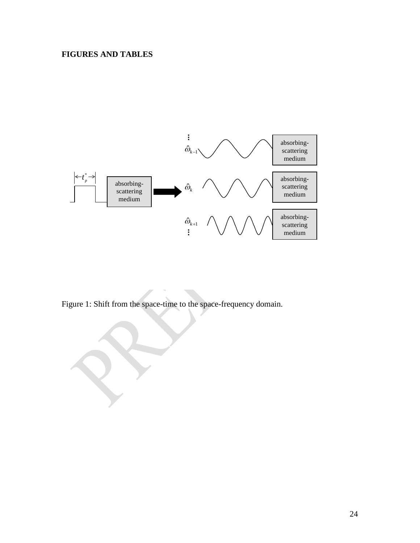# **FIGURES AND TABLES**



Figure 1: Shift from the space-time to the space-frequency domain.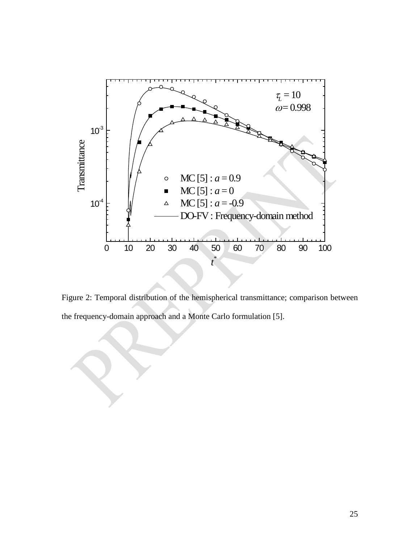

Figure 2: Temporal distribution of the hemispherical transmittance; comparison between the frequency-domain approach and a Monte Carlo formulation [5].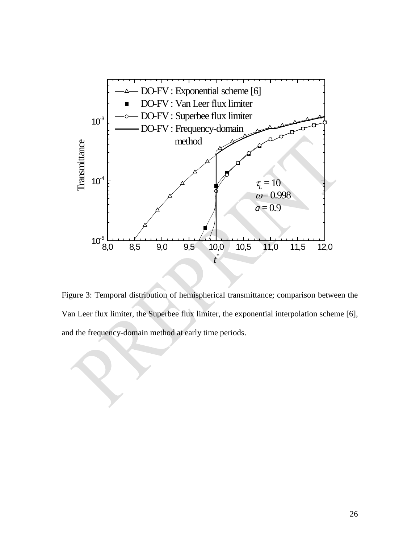

Figure 3: Temporal distribution of hemispherical transmittance; comparison between the Van Leer flux limiter, the Superbee flux limiter, the exponential interpolation scheme [6], and the frequency-domain method at early time periods.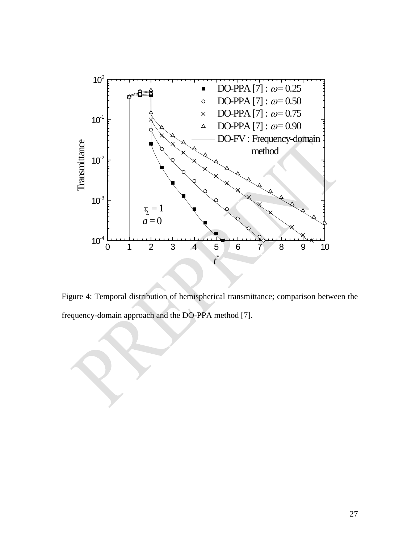

Figure 4: Temporal distribution of hemispherical transmittance; comparison between the frequency-domain approach and the DO-PPA method [7].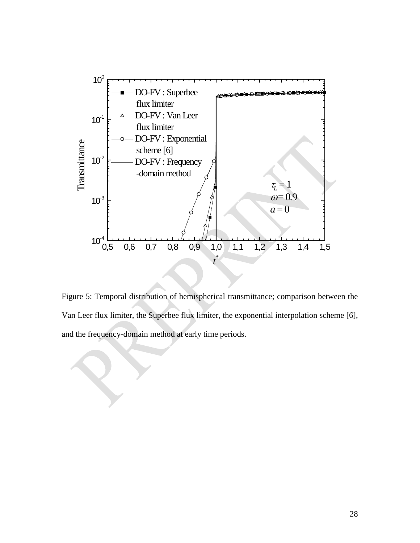

Figure 5: Temporal distribution of hemispherical transmittance; comparison between the Van Leer flux limiter, the Superbee flux limiter, the exponential interpolation scheme [6], and the frequency-domain method at early time periods.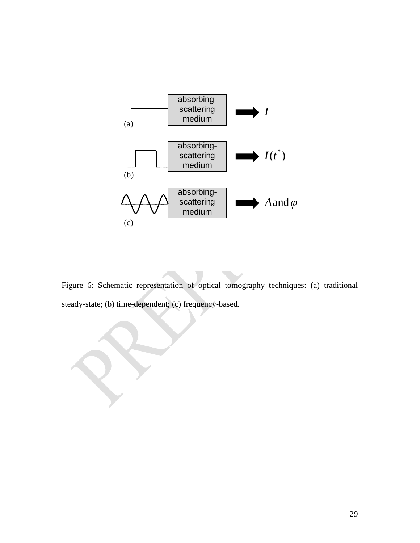

Figure 6: Schematic representation of optical tomography techniques: (a) traditional steady-state; (b) time-dependent; (c) frequency-based.